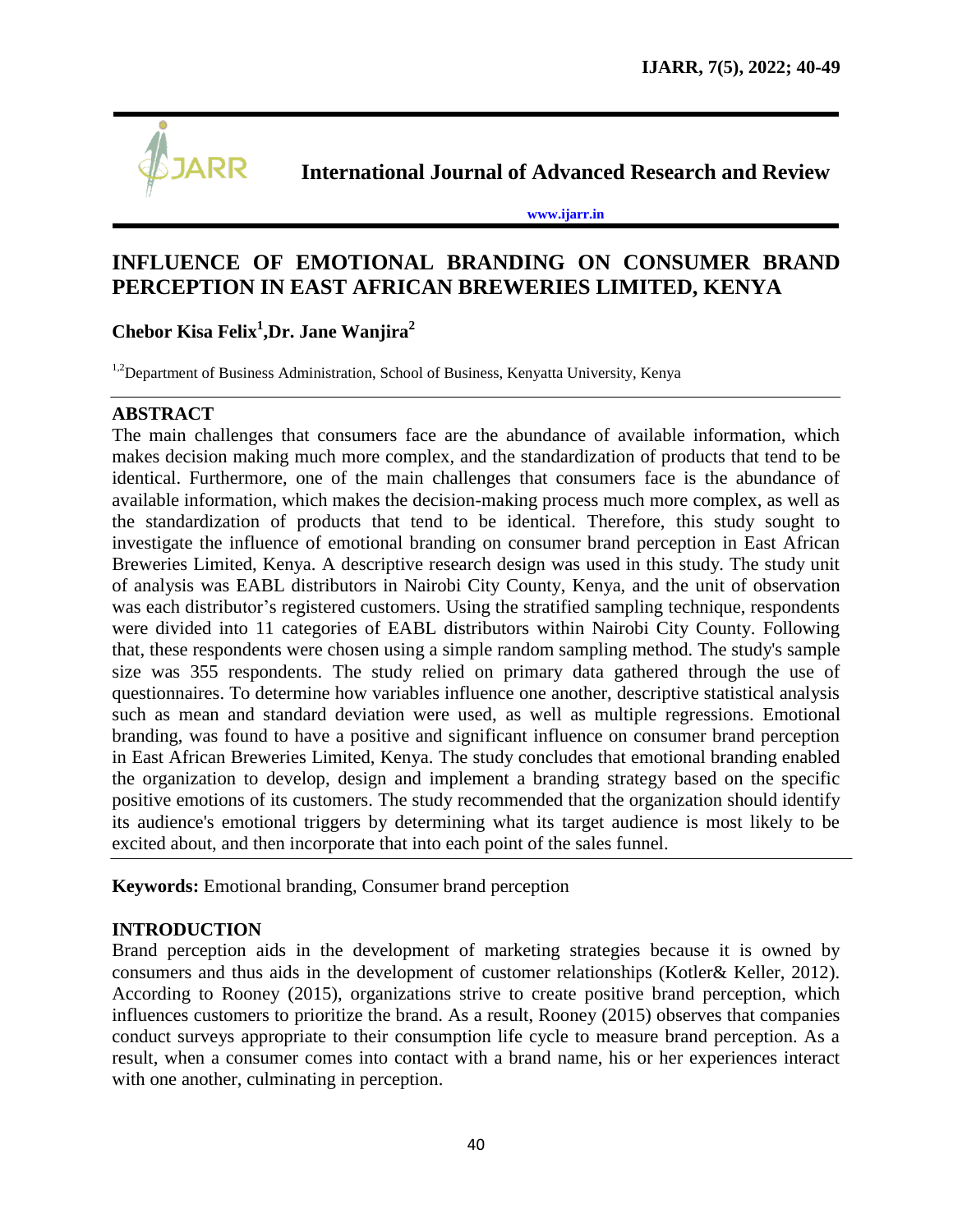

**International Journal of Advanced Research and Review**

**[www.ijarr.in](http://www.ijarr.in/)**

# **INFLUENCE OF EMOTIONAL BRANDING ON CONSUMER BRAND PERCEPTION IN EAST AFRICAN BREWERIES LIMITED, KENYA**

**Chebor Kisa Felix<sup>1</sup> ,Dr. Jane Wanjira<sup>2</sup>**

<sup>1,2</sup>Department of Business Administration, School of Business, Kenyatta University, Kenya

### **ABSTRACT**

The main challenges that consumers face are the abundance of available information, which makes decision making much more complex, and the standardization of products that tend to be identical. Furthermore, one of the main challenges that consumers face is the abundance of available information, which makes the decision-making process much more complex, as well as the standardization of products that tend to be identical. Therefore, this study sought to investigate the influence of emotional branding on consumer brand perception in East African Breweries Limited, Kenya. A descriptive research design was used in this study. The study unit of analysis was EABL distributors in Nairobi City County, Kenya, and the unit of observation was each distributor's registered customers. Using the stratified sampling technique, respondents were divided into 11 categories of EABL distributors within Nairobi City County. Following that, these respondents were chosen using a simple random sampling method. The study's sample size was 355 respondents. The study relied on primary data gathered through the use of questionnaires. To determine how variables influence one another, descriptive statistical analysis such as mean and standard deviation were used, as well as multiple regressions. Emotional branding, was found to have a positive and significant influence on consumer brand perception in East African Breweries Limited, Kenya. The study concludes that emotional branding enabled the organization to develop, design and implement a branding strategy based on the specific positive emotions of its customers. The study recommended that the organization should identify its audience's emotional triggers by determining what its target audience is most likely to be excited about, and then incorporate that into each point of the sales funnel.

**Keywords:** Emotional branding, Consumer brand perception

# **INTRODUCTION**

Brand perception aids in the development of marketing strategies because it is owned by consumers and thus aids in the development of customer relationships (Kotler& Keller, 2012). According to Rooney (2015), organizations strive to create positive brand perception, which influences customers to prioritize the brand. As a result, Rooney (2015) observes that companies conduct surveys appropriate to their consumption life cycle to measure brand perception. As a result, when a consumer comes into contact with a brand name, his or her experiences interact with one another, culminating in perception.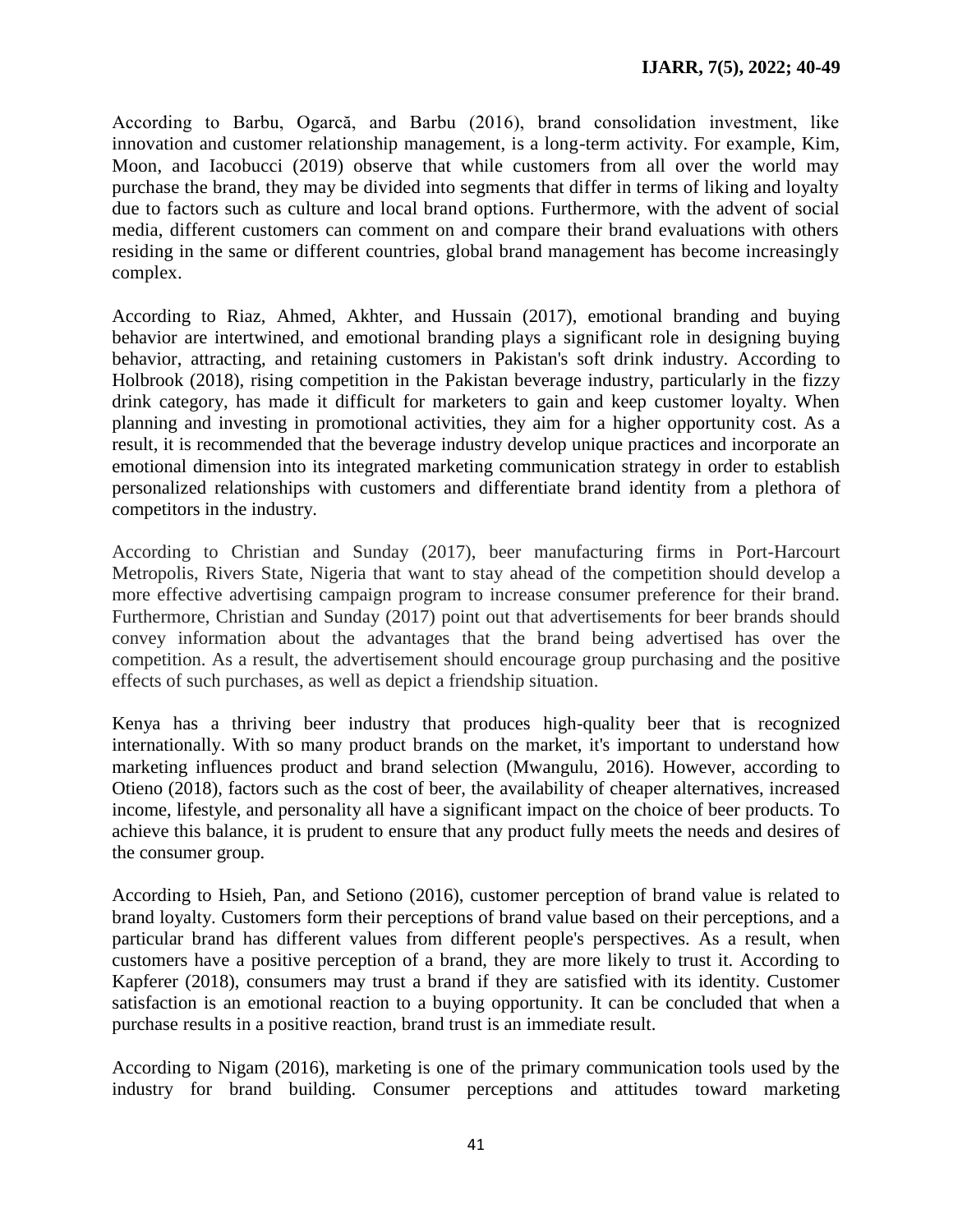According to Barbu, Ogarcă, and Barbu (2016), brand consolidation investment, like innovation and customer relationship management, is a long-term activity. For example, Kim, Moon, and Iacobucci (2019) observe that while customers from all over the world may purchase the brand, they may be divided into segments that differ in terms of liking and loyalty due to factors such as culture and local brand options. Furthermore, with the advent of social media, different customers can comment on and compare their brand evaluations with others residing in the same or different countries, global brand management has become increasingly complex.

According to Riaz, Ahmed, Akhter, and Hussain (2017), emotional branding and buying behavior are intertwined, and emotional branding plays a significant role in designing buying behavior, attracting, and retaining customers in Pakistan's soft drink industry. According to Holbrook (2018), rising competition in the Pakistan beverage industry, particularly in the fizzy drink category, has made it difficult for marketers to gain and keep customer loyalty. When planning and investing in promotional activities, they aim for a higher opportunity cost. As a result, it is recommended that the beverage industry develop unique practices and incorporate an emotional dimension into its integrated marketing communication strategy in order to establish personalized relationships with customers and differentiate brand identity from a plethora of competitors in the industry.

According to Christian and Sunday (2017), beer manufacturing firms in Port-Harcourt Metropolis, Rivers State, Nigeria that want to stay ahead of the competition should develop a more effective advertising campaign program to increase consumer preference for their brand. Furthermore, Christian and Sunday (2017) point out that advertisements for beer brands should convey information about the advantages that the brand being advertised has over the competition. As a result, the advertisement should encourage group purchasing and the positive effects of such purchases, as well as depict a friendship situation.

Kenya has a thriving beer industry that produces high-quality beer that is recognized internationally. With so many product brands on the market, it's important to understand how marketing influences product and brand selection (Mwangulu, 2016). However, according to Otieno (2018), factors such as the cost of beer, the availability of cheaper alternatives, increased income, lifestyle, and personality all have a significant impact on the choice of beer products. To achieve this balance, it is prudent to ensure that any product fully meets the needs and desires of the consumer group.

According to Hsieh, Pan, and Setiono (2016), customer perception of brand value is related to brand loyalty. Customers form their perceptions of brand value based on their perceptions, and a particular brand has different values from different people's perspectives. As a result, when customers have a positive perception of a brand, they are more likely to trust it. According to Kapferer (2018), consumers may trust a brand if they are satisfied with its identity. Customer satisfaction is an emotional reaction to a buying opportunity. It can be concluded that when a purchase results in a positive reaction, brand trust is an immediate result.

According to Nigam (2016), marketing is one of the primary communication tools used by the industry for brand building. Consumer perceptions and attitudes toward marketing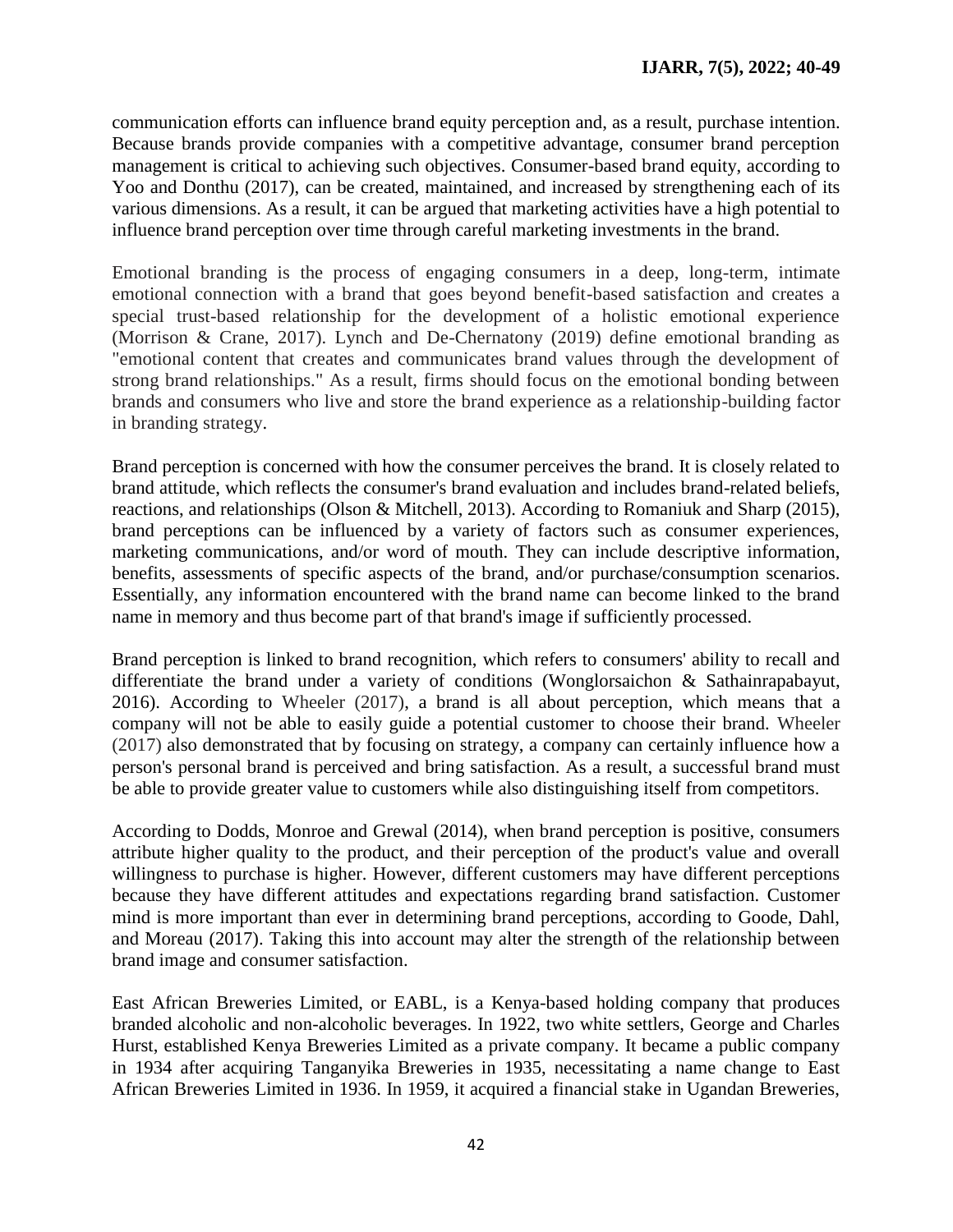communication efforts can influence brand equity perception and, as a result, purchase intention. Because brands provide companies with a competitive advantage, consumer brand perception management is critical to achieving such objectives. Consumer-based brand equity, according to Yoo and Donthu (2017), can be created, maintained, and increased by strengthening each of its various dimensions. As a result, it can be argued that marketing activities have a high potential to influence brand perception over time through careful marketing investments in the brand.

Emotional branding is the process of engaging consumers in a deep, long-term, intimate emotional connection with a brand that goes beyond benefit-based satisfaction and creates a special trust-based relationship for the development of a holistic emotional experience (Morrison & Crane, 2017). Lynch and De-Chernatony (2019) define emotional branding as "emotional content that creates and communicates brand values through the development of strong brand relationships." As a result, firms should focus on the emotional bonding between brands and consumers who live and store the brand experience as a relationship-building factor in branding strategy.

Brand perception is concerned with how the consumer perceives the brand. It is closely related to brand attitude, which reflects the consumer's brand evaluation and includes brand-related beliefs, reactions, and relationships (Olson & Mitchell, 2013). According to Romaniuk and Sharp (2015), brand perceptions can be influenced by a variety of factors such as consumer experiences, marketing communications, and/or word of mouth. They can include descriptive information, benefits, assessments of specific aspects of the brand, and/or purchase/consumption scenarios. Essentially, any information encountered with the brand name can become linked to the brand name in memory and thus become part of that brand's image if sufficiently processed.

Brand perception is linked to brand recognition, which refers to consumers' ability to recall and differentiate the brand under a variety of conditions (Wonglorsaichon & Sathainrapabayut, 2016). According to Wheeler (2017), a brand is all about perception, which means that a company will not be able to easily guide a potential customer to choose their brand. Wheeler (2017) also demonstrated that by focusing on strategy, a company can certainly influence how a person's personal brand is perceived and bring satisfaction. As a result, a successful brand must be able to provide greater value to customers while also distinguishing itself from competitors.

According to Dodds, Monroe and Grewal (2014), when brand perception is positive, consumers attribute higher quality to the product, and their perception of the product's value and overall willingness to purchase is higher. However, different customers may have different perceptions because they have different attitudes and expectations regarding brand satisfaction. Customer mind is more important than ever in determining brand perceptions, according to Goode, Dahl, and Moreau (2017). Taking this into account may alter the strength of the relationship between brand image and consumer satisfaction.

East African Breweries Limited, or EABL, is a Kenya-based holding company that produces branded alcoholic and non-alcoholic beverages. In 1922, two white settlers, George and Charles Hurst, established Kenya Breweries Limited as a private company. It became a public company in 1934 after acquiring Tanganyika Breweries in 1935, necessitating a name change to East African Breweries Limited in 1936. In 1959, it acquired a financial stake in Ugandan Breweries,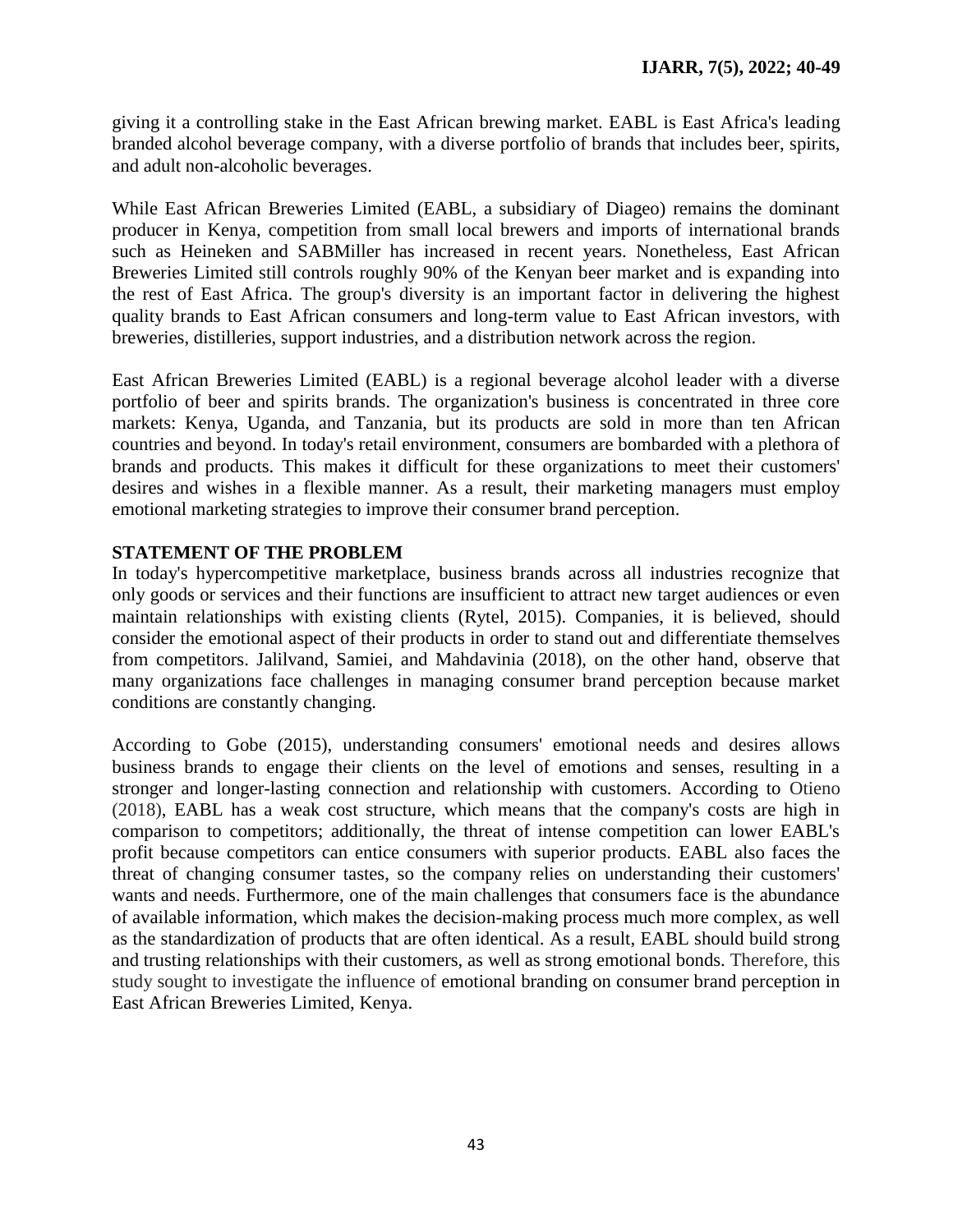giving it a controlling stake in the East African brewing market. EABL is East Africa's leading branded alcohol beverage company, with a diverse portfolio of brands that includes beer, spirits, and adult non-alcoholic beverages.

While East African Breweries Limited (EABL, a subsidiary of Diageo) remains the dominant producer in Kenya, competition from small local brewers and imports of international brands such as Heineken and SABMiller has increased in recent years. Nonetheless, East African Breweries Limited still controls roughly 90% of the Kenyan beer market and is expanding into the rest of East Africa. The group's diversity is an important factor in delivering the highest quality brands to East African consumers and long-term value to East African investors, with breweries, distilleries, support industries, and a distribution network across the region.

East African Breweries Limited (EABL) is a regional beverage alcohol leader with a diverse portfolio of beer and spirits brands. The organization's business is concentrated in three core markets: Kenya, Uganda, and Tanzania, but its products are sold in more than ten African countries and beyond. In today's retail environment, consumers are bombarded with a plethora of brands and products. This makes it difficult for these organizations to meet their customers' desires and wishes in a flexible manner. As a result, their marketing managers must employ emotional marketing strategies to improve their consumer brand perception.

### **STATEMENT OF THE PROBLEM**

In today's hypercompetitive marketplace, business brands across all industries recognize that only goods or services and their functions are insufficient to attract new target audiences or even maintain relationships with existing clients (Rytel, 2015). Companies, it is believed, should consider the emotional aspect of their products in order to stand out and differentiate themselves from competitors. Jalilvand, Samiei, and Mahdavinia (2018), on the other hand, observe that many organizations face challenges in managing consumer brand perception because market conditions are constantly changing.

According to Gobe (2015), understanding consumers' emotional needs and desires allows business brands to engage their clients on the level of emotions and senses, resulting in a stronger and longer-lasting connection and relationship with customers. According to Otieno (2018), EABL has a weak cost structure, which means that the company's costs are high in comparison to competitors; additionally, the threat of intense competition can lower EABL's profit because competitors can entice consumers with superior products. EABL also faces the threat of changing consumer tastes, so the company relies on understanding their customers' wants and needs. Furthermore, one of the main challenges that consumers face is the abundance of available information, which makes the decision-making process much more complex, as well as the standardization of products that are often identical. As a result, EABL should build strong and trusting relationships with their customers, as well as strong emotional bonds. Therefore, this study sought to investigate the influence of emotional branding on consumer brand perception in East African Breweries Limited, Kenya.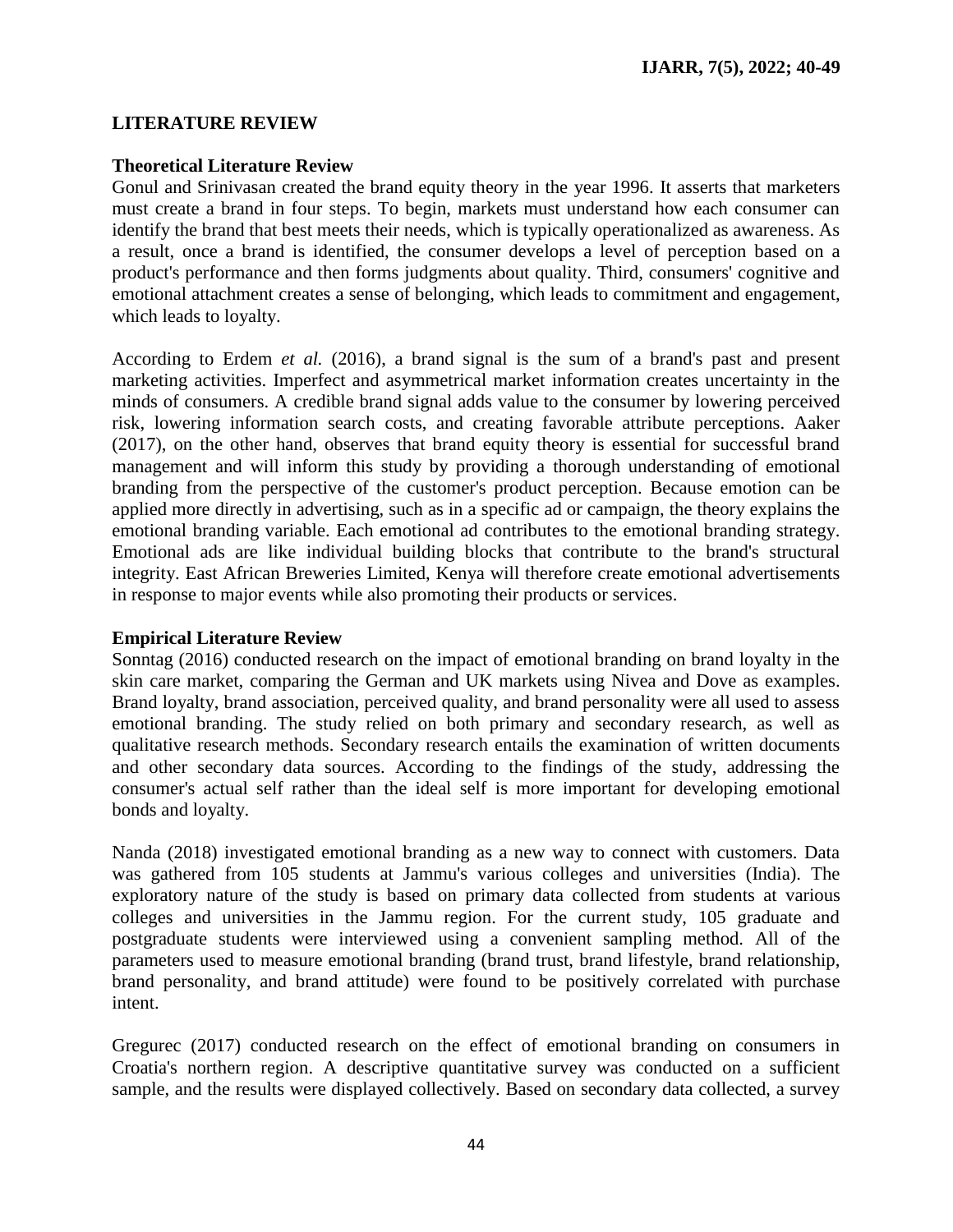#### **LITERATURE REVIEW**

#### **Theoretical Literature Review**

Gonul and Srinivasan created the brand equity theory in the year 1996. It asserts that marketers must create a brand in four steps. To begin, markets must understand how each consumer can identify the brand that best meets their needs, which is typically operationalized as awareness. As a result, once a brand is identified, the consumer develops a level of perception based on a product's performance and then forms judgments about quality. Third, consumers' cognitive and emotional attachment creates a sense of belonging, which leads to commitment and engagement, which leads to loyalty.

According to Erdem *et al.* (2016), a brand signal is the sum of a brand's past and present marketing activities. Imperfect and asymmetrical market information creates uncertainty in the minds of consumers. A credible brand signal adds value to the consumer by lowering perceived risk, lowering information search costs, and creating favorable attribute perceptions. Aaker (2017), on the other hand, observes that brand equity theory is essential for successful brand management and will inform this study by providing a thorough understanding of emotional branding from the perspective of the customer's product perception. Because emotion can be applied more directly in advertising, such as in a specific ad or campaign, the theory explains the emotional branding variable. Each emotional ad contributes to the emotional branding strategy. Emotional ads are like individual building blocks that contribute to the brand's structural integrity. East African Breweries Limited, Kenya will therefore create emotional advertisements in response to major events while also promoting their products or services.

### **Empirical Literature Review**

Sonntag (2016) conducted research on the impact of emotional branding on brand loyalty in the skin care market, comparing the German and UK markets using Nivea and Dove as examples. Brand loyalty, brand association, perceived quality, and brand personality were all used to assess emotional branding. The study relied on both primary and secondary research, as well as qualitative research methods. Secondary research entails the examination of written documents and other secondary data sources. According to the findings of the study, addressing the consumer's actual self rather than the ideal self is more important for developing emotional bonds and loyalty.

Nanda (2018) investigated emotional branding as a new way to connect with customers. Data was gathered from 105 students at Jammu's various colleges and universities (India). The exploratory nature of the study is based on primary data collected from students at various colleges and universities in the Jammu region. For the current study, 105 graduate and postgraduate students were interviewed using a convenient sampling method. All of the parameters used to measure emotional branding (brand trust, brand lifestyle, brand relationship, brand personality, and brand attitude) were found to be positively correlated with purchase intent.

Gregurec (2017) conducted research on the effect of emotional branding on consumers in Croatia's northern region. A descriptive quantitative survey was conducted on a sufficient sample, and the results were displayed collectively. Based on secondary data collected, a survey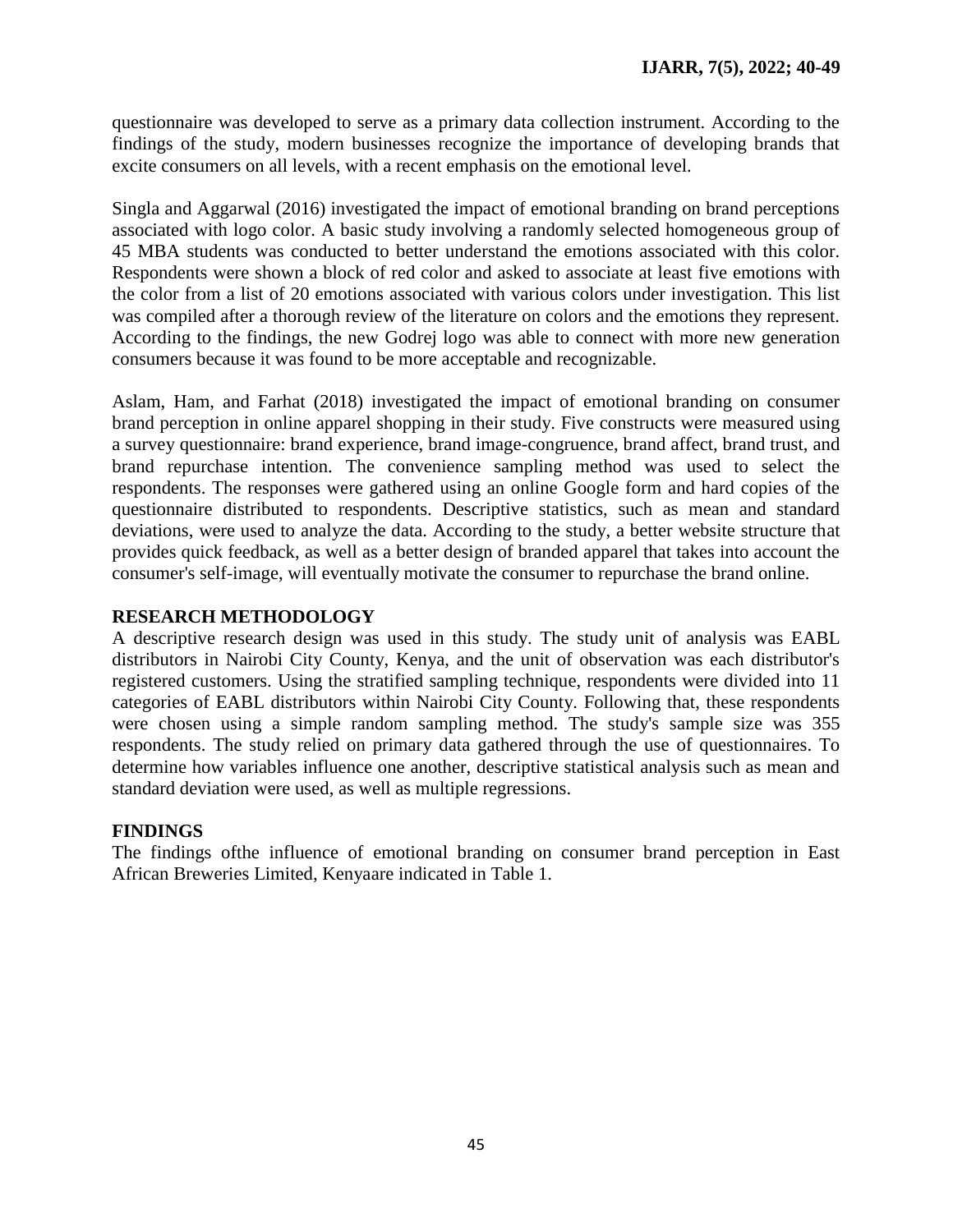questionnaire was developed to serve as a primary data collection instrument. According to the findings of the study, modern businesses recognize the importance of developing brands that excite consumers on all levels, with a recent emphasis on the emotional level.

Singla and Aggarwal (2016) investigated the impact of emotional branding on brand perceptions associated with logo color. A basic study involving a randomly selected homogeneous group of 45 MBA students was conducted to better understand the emotions associated with this color. Respondents were shown a block of red color and asked to associate at least five emotions with the color from a list of 20 emotions associated with various colors under investigation. This list was compiled after a thorough review of the literature on colors and the emotions they represent. According to the findings, the new Godrej logo was able to connect with more new generation consumers because it was found to be more acceptable and recognizable.

Aslam, Ham, and Farhat (2018) investigated the impact of emotional branding on consumer brand perception in online apparel shopping in their study. Five constructs were measured using a survey questionnaire: brand experience, brand image-congruence, brand affect, brand trust, and brand repurchase intention. The convenience sampling method was used to select the respondents. The responses were gathered using an online Google form and hard copies of the questionnaire distributed to respondents. Descriptive statistics, such as mean and standard deviations, were used to analyze the data. According to the study, a better website structure that provides quick feedback, as well as a better design of branded apparel that takes into account the consumer's self-image, will eventually motivate the consumer to repurchase the brand online.

### **RESEARCH METHODOLOGY**

A descriptive research design was used in this study. The study unit of analysis was EABL distributors in Nairobi City County, Kenya, and the unit of observation was each distributor's registered customers. Using the stratified sampling technique, respondents were divided into 11 categories of EABL distributors within Nairobi City County. Following that, these respondents were chosen using a simple random sampling method. The study's sample size was 355 respondents. The study relied on primary data gathered through the use of questionnaires. To determine how variables influence one another, descriptive statistical analysis such as mean and standard deviation were used, as well as multiple regressions.

#### **FINDINGS**

The findings ofthe influence of emotional branding on consumer brand perception in East African Breweries Limited, Kenyaare indicated in Table 1.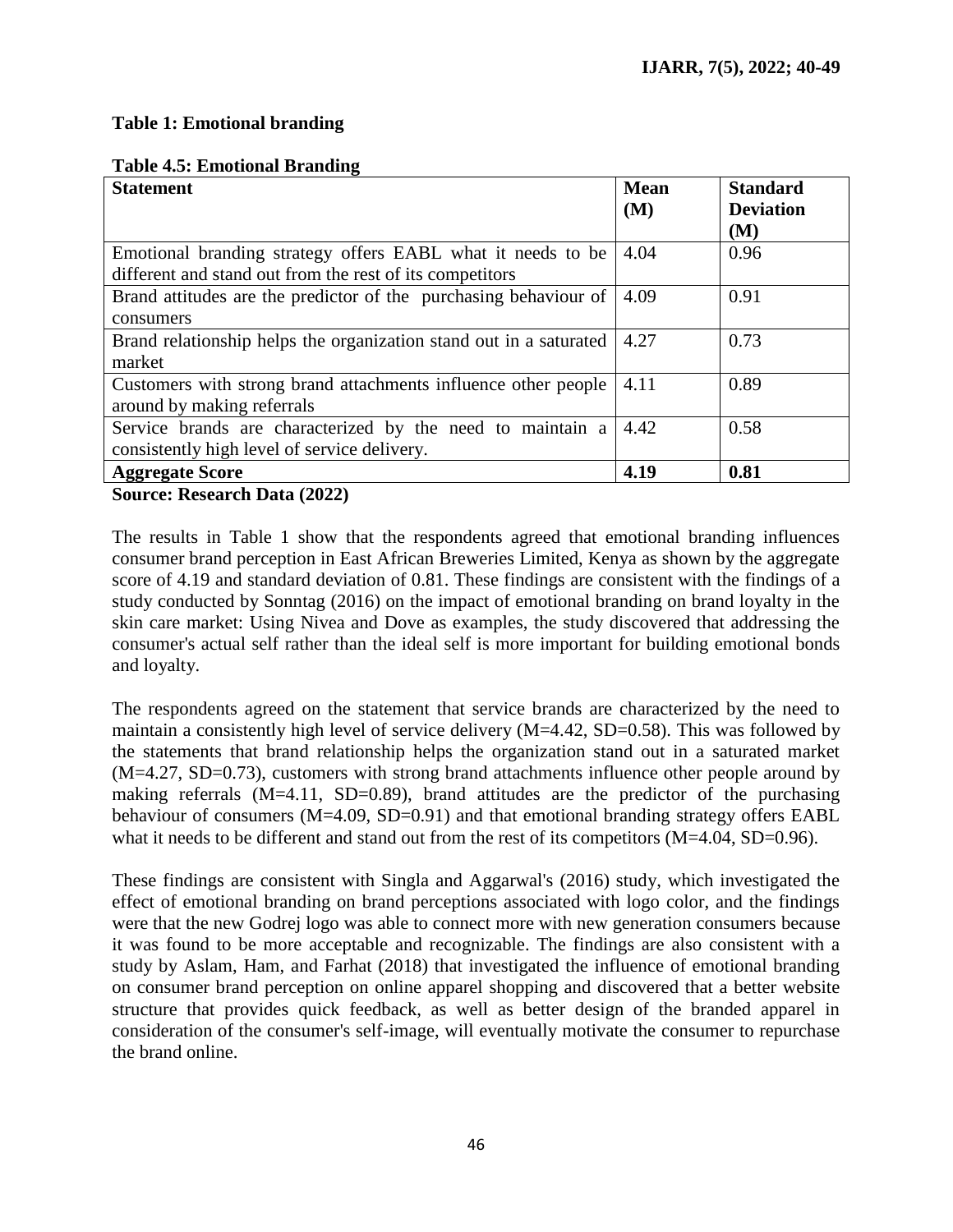### **Table 1: Emotional branding**

|  | <b>Table 4.5: Emotional Branding</b> |  |
|--|--------------------------------------|--|
|--|--------------------------------------|--|

| <b>Statement</b>                                                   | <b>Mean</b> | <b>Standard</b>  |
|--------------------------------------------------------------------|-------------|------------------|
|                                                                    | (M)         | <b>Deviation</b> |
|                                                                    |             | (M)              |
| Emotional branding strategy offers EABL what it needs to be        | 4.04        | 0.96             |
| different and stand out from the rest of its competitors           |             |                  |
| Brand attitudes are the predictor of the purchasing behaviour of   | 4.09        | 0.91             |
| consumers                                                          |             |                  |
| Brand relationship helps the organization stand out in a saturated | 4.27        | 0.73             |
| market                                                             |             |                  |
| Customers with strong brand attachments influence other people     | 4.11        | 0.89             |
| around by making referrals                                         |             |                  |
| Service brands are characterized by the need to maintain a         | 4.42        | 0.58             |
| consistently high level of service delivery.                       |             |                  |
| <b>Aggregate Score</b>                                             | 4.19        | 0.81             |

**Source: Research Data (2022)**

The results in Table 1 show that the respondents agreed that emotional branding influences consumer brand perception in East African Breweries Limited, Kenya as shown by the aggregate score of 4.19 and standard deviation of 0.81. These findings are consistent with the findings of a study conducted by Sonntag (2016) on the impact of emotional branding on brand loyalty in the skin care market: Using Nivea and Dove as examples, the study discovered that addressing the consumer's actual self rather than the ideal self is more important for building emotional bonds and loyalty.

The respondents agreed on the statement that service brands are characterized by the need to maintain a consistently high level of service delivery (M=4.42, SD=0.58). This was followed by the statements that brand relationship helps the organization stand out in a saturated market (M=4.27, SD=0.73), customers with strong brand attachments influence other people around by making referrals (M=4.11, SD=0.89), brand attitudes are the predictor of the purchasing behaviour of consumers (M=4.09, SD=0.91) and that emotional branding strategy offers EABL what it needs to be different and stand out from the rest of its competitors (M=4.04, SD=0.96).

These findings are consistent with Singla and Aggarwal's (2016) study, which investigated the effect of emotional branding on brand perceptions associated with logo color, and the findings were that the new Godrej logo was able to connect more with new generation consumers because it was found to be more acceptable and recognizable. The findings are also consistent with a study by Aslam, Ham, and Farhat (2018) that investigated the influence of emotional branding on consumer brand perception on online apparel shopping and discovered that a better website structure that provides quick feedback, as well as better design of the branded apparel in consideration of the consumer's self-image, will eventually motivate the consumer to repurchase the brand online.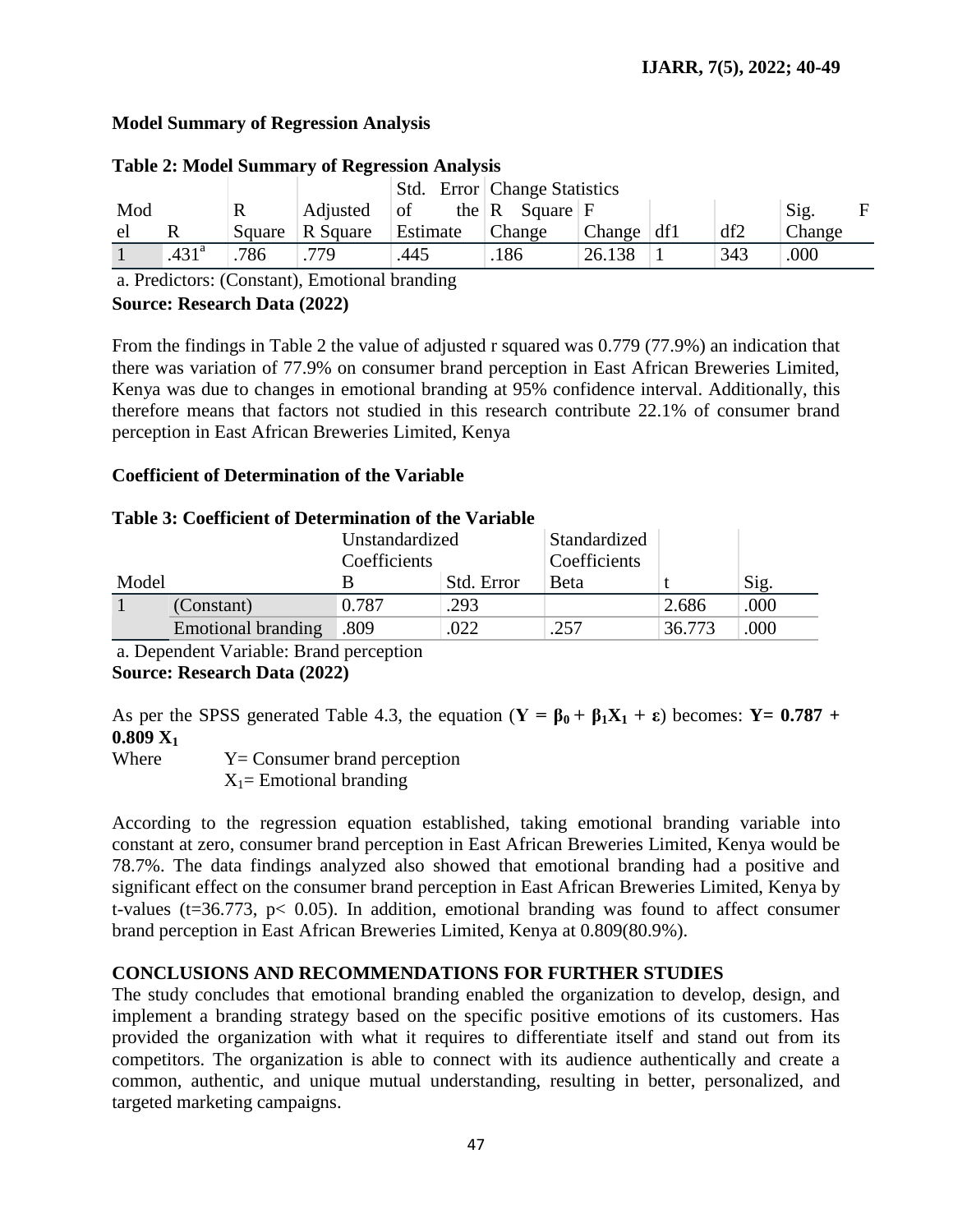# **Model Summary of Regression Analysis**

|     |                   |        |          | Std. Error Change Statistics |                                    |              |  |     |        |   |
|-----|-------------------|--------|----------|------------------------------|------------------------------------|--------------|--|-----|--------|---|
| Mod |                   | R      | Adjusted | of                           | the $\mathbf R$ Square $\mathbf F$ |              |  |     | Sig.   | E |
| el  |                   | Square | R Square | Estimate                     | Change                             | Change $df1$ |  | df2 | Change |   |
|     | .431 <sup>a</sup> | 786    | .779     | .445                         | .186                               | 26.138       |  | 343 | 000    |   |

# **Table 2: Model Summary of Regression Analysis**

a. Predictors: (Constant), Emotional branding **Source: Research Data (2022)**

From the findings in Table 2 the value of adjusted r squared was 0.779 (77.9%) an indication that there was variation of 77.9% on consumer brand perception in East African Breweries Limited, Kenya was due to changes in emotional branding at 95% confidence interval. Additionally, this therefore means that factors not studied in this research contribute 22.1% of consumer brand perception in East African Breweries Limited, Kenya

### **Coefficient of Determination of the Variable**

### **Table 3: Coefficient of Determination of the Variable**

|       |                    | Unstandardized |            | Standardized |        |      |
|-------|--------------------|----------------|------------|--------------|--------|------|
|       |                    | Coefficients   |            | Coefficients |        |      |
| Model |                    |                | Std. Error | <b>Beta</b>  |        | Sig. |
|       | (Constant)         | 0.787          | .293       |              | 2.686  | .000 |
|       | Emotional branding | .809           | .022       | .257         | 36.773 | .000 |

a. Dependent Variable: Brand perception **Source: Research Data (2022)**

As per the SPSS generated Table 4.3, the equation  $(Y = \beta_0 + \beta_1 X_1 + \varepsilon)$  becomes:  $Y = 0.787 +$ **0.809 X<sup>1</sup>**

Where  $Y =$  Consumer brand perception  $X_1$ = Emotional branding

According to the regression equation established, taking emotional branding variable into constant at zero, consumer brand perception in East African Breweries Limited, Kenya would be 78.7%. The data findings analyzed also showed that emotional branding had a positive and significant effect on the consumer brand perception in East African Breweries Limited, Kenya by t-values ( $t=36.773$ ,  $p< 0.05$ ). In addition, emotional branding was found to affect consumer brand perception in East African Breweries Limited, Kenya at 0.809(80.9%).

# **CONCLUSIONS AND RECOMMENDATIONS FOR FURTHER STUDIES**

The study concludes that emotional branding enabled the organization to develop, design, and implement a branding strategy based on the specific positive emotions of its customers. Has provided the organization with what it requires to differentiate itself and stand out from its competitors. The organization is able to connect with its audience authentically and create a common, authentic, and unique mutual understanding, resulting in better, personalized, and targeted marketing campaigns.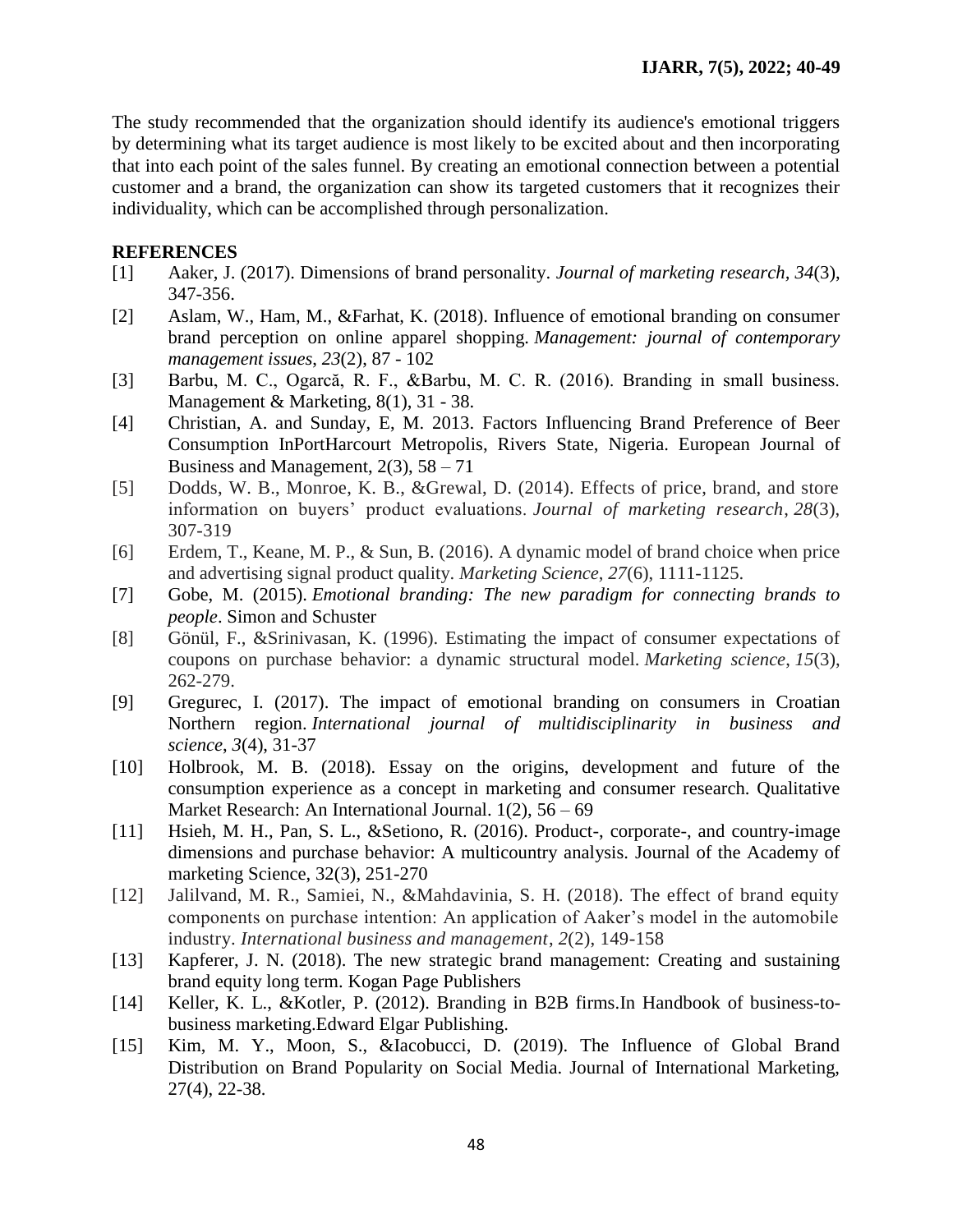The study recommended that the organization should identify its audience's emotional triggers by determining what its target audience is most likely to be excited about and then incorporating that into each point of the sales funnel. By creating an emotional connection between a potential customer and a brand, the organization can show its targeted customers that it recognizes their individuality, which can be accomplished through personalization.

## **REFERENCES**

- [1] Aaker, J. (2017). Dimensions of brand personality. *Journal of marketing research, 34*(3), 347-356.
- [2] Aslam, W., Ham, M., &Farhat, K. (2018). Influence of emotional branding on consumer brand perception on online apparel shopping. *Management: journal of contemporary management issues*, *23*(2), 87 - 102
- [3] Barbu, M. C., Ogarcă, R. F., &Barbu, M. C. R. (2016). Branding in small business. Management & Marketing, 8(1), 31 - 38.
- [4] Christian, A. and Sunday, E, M. 2013. Factors Influencing Brand Preference of Beer Consumption InPortHarcourt Metropolis, Rivers State, Nigeria. European Journal of Business and Management,  $2(3)$ ,  $58 - 71$
- [5] Dodds, W. B., Monroe, K. B., &Grewal, D. (2014). Effects of price, brand, and store information on buyers' product evaluations. *Journal of marketing research*, *28*(3), 307-319
- [6] Erdem, T., Keane, M. P., & Sun, B. (2016). A dynamic model of brand choice when price and advertising signal product quality. *Marketing Science*, *27*(6), 1111-1125.
- [7] Gobe, M. (2015). *Emotional branding: The new paradigm for connecting brands to people*. Simon and Schuster
- [8] Gönül, F., &Srinivasan, K. (1996). Estimating the impact of consumer expectations of coupons on purchase behavior: a dynamic structural model. *Marketing science*, *15*(3), 262-279.
- [9] Gregurec, I. (2017). The impact of emotional branding on consumers in Croatian Northern region. *International journal of multidisciplinarity in business and science*, *3*(4), 31-37
- [10] Holbrook, M. B. (2018). Essay on the origins, development and future of the consumption experience as a concept in marketing and consumer research. Qualitative Market Research: An International Journal. 1(2), 56 – 69
- [11] Hsieh, M. H., Pan, S. L., & Setiono, R. (2016). Product-, corporate-, and country-image dimensions and purchase behavior: A multicountry analysis. Journal of the Academy of marketing Science, 32(3), 251-270
- [12] Jalilvand, M. R., Samiei, N., &Mahdavinia, S. H. (2018). The effect of brand equity components on purchase intention: An application of Aaker's model in the automobile industry. *International business and management*, *2*(2), 149-158
- [13] Kapferer, J. N. (2018). The new strategic brand management: Creating and sustaining brand equity long term. Kogan Page Publishers
- [14] Keller, K. L., &Kotler, P. (2012). Branding in B2B firms.In Handbook of business-tobusiness marketing.Edward Elgar Publishing.
- [15] Kim, M. Y., Moon, S., &Iacobucci, D. (2019). The Influence of Global Brand Distribution on Brand Popularity on Social Media. Journal of International Marketing, 27(4), 22-38.